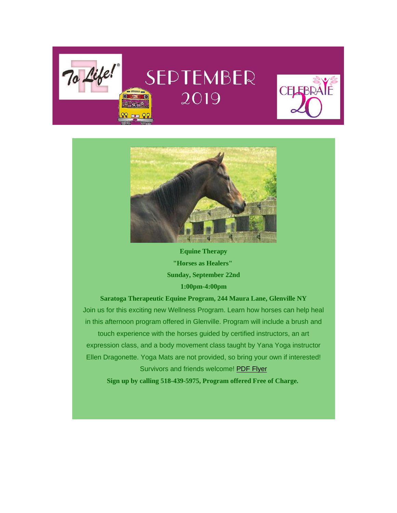# SEPTEMBER 2019 SCHOOL BUS O

To Life!





**Equine Therapy "Horses as Healers" Sunday, September 22nd 1:00pm-4:00pm**

**Saratoga Therapeutic Equine Program, 244 Maura Lane, Glenville NY** Join us for this exciting new Wellness Program. Learn how horses can help heal in this afternoon program offered in Glenville. Program will include a brush and touch experience with the horses guided by certified instructors, an art expression class, and a body movement class taught by Yana Yoga instructor Ellen Dragonette. Yoga Mats are not provided, so bring your own if interested! Survivors and friends welcome! [PDF Flyer](https://tolife.us5.list-manage.com/track/click?u=241d59b897b4121e9d2e15914&id=b62211f207&e=2e4135c3d8)

**Sign up by calling 518-439-5975, Program offered Free of Charge.**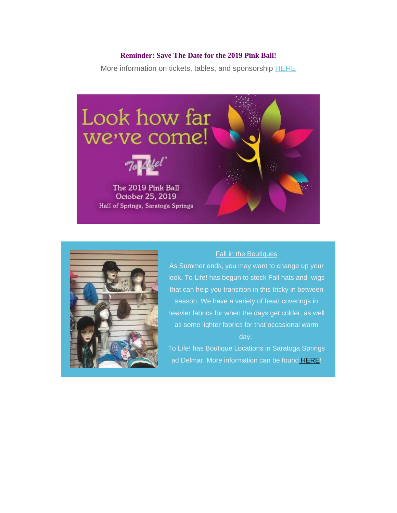### **Reminder: Save The Date for the 2019 Pink Ball!**

More information on tickets, tables, and sponsorship [HERE](https://tolife.us5.list-manage.com/track/click?u=241d59b897b4121e9d2e15914&id=7a548be0fd&e=2e4135c3d8)





### Fall in the Boutiques

As Summer ends, you may want to change up your look. To Life! has begun to stock Fall hats and wigs that can help you transition in this tricky in between season. We have a variety of head coverings in heavier fabrics for when the days get colder, as well as some lighter fabrics for that occasional warm day.

To Life! has Boutique Locations in Saratoga Springs ad Delmar. More information can be found [HERE!](https://tolife.us5.list-manage.com/track/click?u=241d59b897b4121e9d2e15914&id=23e084a89f&e=2e4135c3d8)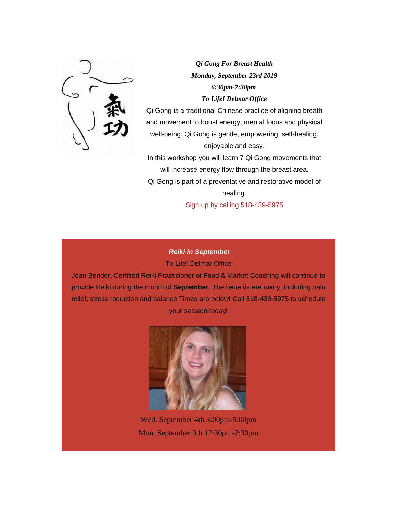

*Qi Gong For Breast Health Monday, September 23rd 2019 6:30pm-7:30pm To Life! Delmar Office*

Qi Gong is a traditional Chinese practice of aligning breath and movement to boost energy, mental focus and physical well-being. Qi Gong is gentle, empowering, self-healing, enjoyable and easy.

In this workshop you will learn 7 Qi Gong movements that will increase energy flow through the breast area. Qi Gong is part of a preventative and restorative model of healing.

Sign up by calling 518-439-5975

### *Reiki in September* To Life! Delmar Office

Joan Bender, Certified Reiki Practicioner of Food & Market Coaching will continue to provide Reiki during the month of **September**. The benefits are many, including pain relief, stress reduction and balance.Times are below! Call 518-439-5975 to schedule your session today!



Wed. September 4th 3:00pm-5:00pm Mon. September 9th 12:30pm-2:30pm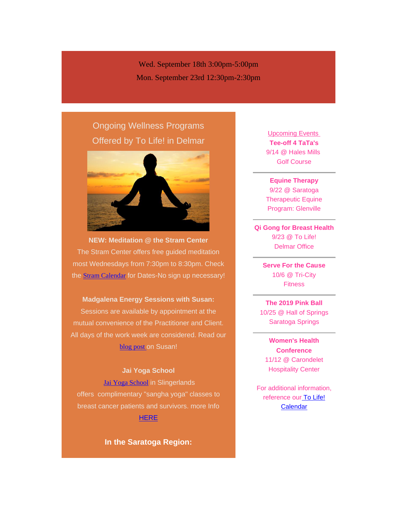Wed. September 18th 3:00pm-5:00pm Mon. September 23rd 12:30pm-2:30pm

# Ongoing Wellness Programs Offered by *To Life!* in Delmar



**NEW: Meditation @ the Stram Center** The Stram Center offers free guided meditation most Wednesdays from 7:30pm to 8:30pm. Check the **[Stram Calendar](https://tolife.us5.list-manage.com/track/click?u=241d59b897b4121e9d2e15914&id=954b503548&e=2e4135c3d8)** for Dates-No sign up necessary!

**Madgalena Energy Sessions with Susan:** Sessions are available by appointment at the

mutual convenience of the Practitioner and Client. All days of the work week are considered. Read our [blog post](https://tolife.us5.list-manage.com/track/click?u=241d59b897b4121e9d2e15914&id=ee0745ecbf&e=2e4135c3d8) on Susan!

### *Jai Yoga School*

[Jai Yoga School](https://tolife.us5.list-manage.com/track/click?u=241d59b897b4121e9d2e15914&id=76a669ac6f&e=2e4135c3d8) in Slingerlands offers complimentary "sangha yoga" classes to breast cancer patients and survivors. more Info **[HERE](https://tolife.us5.list-manage.com/track/click?u=241d59b897b4121e9d2e15914&id=11436bd1e8&e=2e4135c3d8)** 

**In the Saratoga Region:**

Upcoming Events **Tee-off 4 TaTa's** 9/14 @ Hales Mills Golf Course

**Equine Therapy** 9/22 @ Saratoga Therapeutic Equine Program: Glenville

**Qi Gong for Breast Health** 9/23 @ To Life! Delmar Office

> **Serve For the Cause** 10/6 @ Tri-City **Fitness**

**The 2019 Pink Ball** 10/25 @ Hall of Springs Saratoga Springs

**Women's Health Conference** 11/12 @ Carondelet Hospitality Center

For additional information, reference our To Life! **[Calendar](https://tolife.us5.list-manage.com/track/click?u=241d59b897b4121e9d2e15914&id=e1ce382738&e=2e4135c3d8)**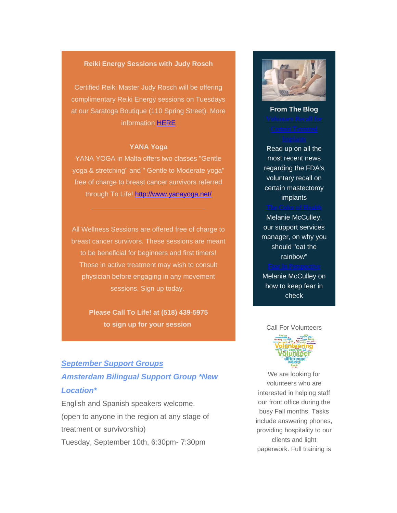### *Reiki Energy Sessions with Judy Rosch*

Certified Reiki Master Judy Rosch will be offering complimentary Reiki Energy sessions on Tuesdays at our Saratoga Boutique (110 Spring Street). More information [HERE](https://tolife.us5.list-manage.com/track/click?u=241d59b897b4121e9d2e15914&id=baab43e671&e=2e4135c3d8)

### **YANA Yoga**

YANA YOGA in Malta offers two classes "Gentle yoga & stretching" and " Gentle to Moderate yoga" free of charge to breast cancer survivors referred through To Life! [http://www.yanayoga.net/](https://tolife.us5.list-manage.com/track/click?u=241d59b897b4121e9d2e15914&id=cdc7bed197&e=2e4135c3d8)

 $\mathcal{L}_\mathcal{L}$  , and the set of the set of the set of the set of the set of the set of the set of the set of the set of the set of the set of the set of the set of the set of the set of the set of the set of the set of th

All Wellness Sessions are offered free of charge to breast cancer survivors. These sessions are meant to be beneficial for beginners and first timers! Those in active treatment may wish to consult physician before engaging in any movement sessions. Sign up today.

> **Please Call To Life! at (518) 439-5975 to sign up for your session**

## *September Support Groups Amsterdam Bilingual Support Group \*New Location\**

English and Spanish speakers welcome. (open to anyone in the region at any stage of treatment or survivorship) Tuesday, September 10th, 6:30pm- 7:30pm



**From The Blog**

Read up on all the most recent news regarding the FDA's voluntary recall on certain mastectomy implants

Melanie McCulley, our support services manager, on why you should "eat the rainbow"

Melanie McCulley on how to keep fear in check

### Call For Volunteers



We are looking for volunteers who are interested in helping staff our front office during the busy Fall months. Tasks include answering phones, providing hospitality to our clients and light paperwork. Full training is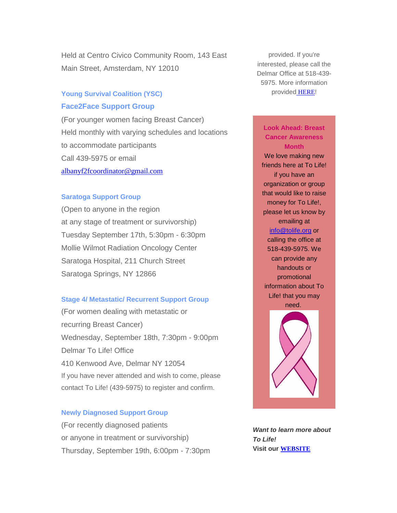Held at Centro Civico Community Room, 143 East Main Street, Amsterdam, NY 12010

### *Young Survival Coalition (YSC)*

### *Face2Face Support Group*

(For younger women facing Breast Cancer) Held monthly with varying schedules and locations to accommodate participants Call 439-5975 or email [albanyf2fcoordinator@gmail.com](mailto:albanyf2fcoordinator@gmail.com)

### *Saratoga Support Group*

(Open to anyone in the region at any stage of treatment or survivorship) Tuesday September 17th, 5:30pm - 6:30pm Mollie Wilmot Radiation Oncology Center Saratoga Hospital, 211 Church Street Saratoga Springs, NY 12866

### *Stage 4/ Metastatic/ Recurrent Support Group*

(For women dealing with metastatic or recurring Breast Cancer) Wednesday, September 18th, 7:30pm - 9:00pm Delmar To Life! Office 410 Kenwood Ave, Delmar NY 12054 If you have never attended and wish to come, please contact To Life! (439-5975) to register and confirm.

### *Newly Diagnosed Support Group*

(For recently diagnosed patients or anyone in treatment or survivorship) Thursday, September 19th, 6:00pm - 7:30pm

provided. If you're interested, please call the Delmar Office at 518-439- 5975. More information provided [HERE](https://tolife.us5.list-manage.com/track/click?u=241d59b897b4121e9d2e15914&id=621ecc56e4&e=2e4135c3d8)!

### **Look Ahead: Breast Cancer Awareness Month**

We love making new friends here at To Life! if you have an organization or group that would like to raise money for To Life!, please let us know by emailing at [info@tolife.org](mailto:info@tolife.org) or calling the office at 518-439-5975. We can provide any handouts or promotional information about To Life! that you may need.



*Want to learn more about To Life!* **Visit our [WEBSITE](https://tolife.us5.list-manage.com/track/click?u=241d59b897b4121e9d2e15914&id=aa171cd777&e=2e4135c3d8)**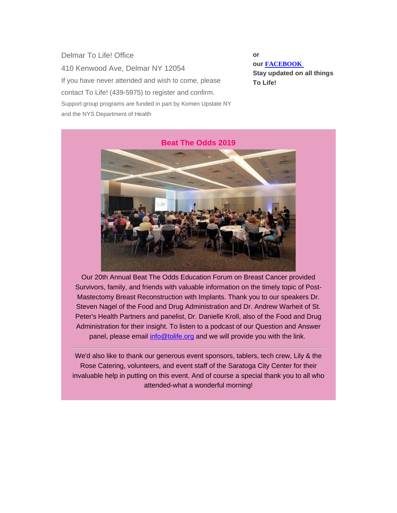Delmar To Life! Office 410 Kenwood Ave, Delmar NY 12054 If you have never attended and wish to come, please contact To Life! (439-5975) to register and confirm. *Support group programs are funded in part by Komen Upstate NY and the NYS Department of Health*

**or our [FACEBOOK](https://tolife.us5.list-manage.com/track/click?u=241d59b897b4121e9d2e15914&id=a428c96ce1&e=2e4135c3d8) Stay updated on all things To Life!**



Our 20th Annual Beat The Odds Education Forum on Breast Cancer provided Survivors, family, and friends with valuable information on the timely topic of Post-Mastectomy Breast Reconstruction with Implants. Thank you to our speakers Dr. Steven Nagel of the Food and Drug Administration and Dr. Andrew Warheit of St. Peter's Health Partners and panelist, Dr. Danielle Kroll, also of the Food and Drug Administration for their insight. To listen to a podcast of our Question and Answer panel, please email [info@tolife.org](mailto:info@tolife.org) and we will provide you with the link.

We'd also like to thank our generous event sponsors, tablers, tech crew, Lily & the Rose Catering, volunteers, and event staff of the Saratoga City Center for their invaluable help in putting on this event. And of course a special thank you to all who attended-what a wonderful morning!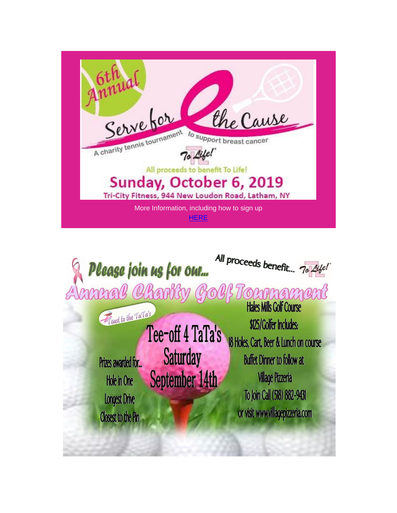| Servetor<br>the Cause<br>A charity tennis tournament<br>to support breast cancer<br>All proceeds to benefit To Life! |
|----------------------------------------------------------------------------------------------------------------------|
| Sunday, October 6, 2019<br>Tri-City Fitness, 944 New Loudon Road, Latham, NY                                         |
| More Information, including how to sign up<br>HERE                                                                   |